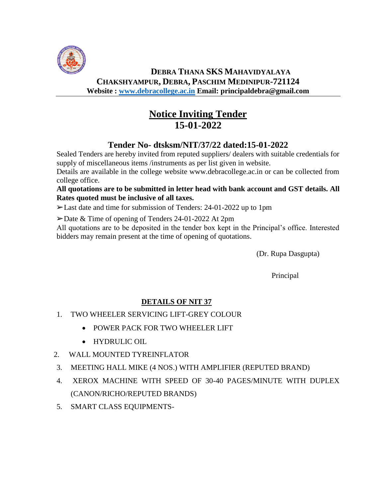

## **DEBRA THANA SKS MAHAVIDYALAYA CHAKSHYAMPUR, DEBRA, PASCHIM MEDINIPUR-721124 Website : [www.debracollege.ac.in](http://www.debracollege.ac.in/) Email: principaldebra@gmail.com**

# **Notice Inviting Tender 15-01-2022**

# **Tender No- dtsksm/NIT/37/22 dated:15-01-2022**

Sealed Tenders are hereby invited from reputed suppliers/ dealers with suitable credentials for supply of miscellaneous items /instruments as per list given in website.

Details are available in the college website www.debracollege.ac.in or can be collected from college office.

#### **All quotations are to be submitted in letter head with bank account and GST details. All Rates quoted must be inclusive of all taxes.**

➢Last date and time for submission of Tenders: 24-01-2022 up to 1pm

➢Date & Time of opening of Tenders 24-01-2022 At 2pm

All quotations are to be deposited in the tender box kept in the Principal's office. Interested bidders may remain present at the time of opening of quotations.

(Dr. Rupa Dasgupta)

Principal

## **DETAILS OF NIT 37**

- 1. TWO WHEELER SERVICING LIFT-GREY COLOUR
	- POWER PACK FOR TWO WHEELER LIFT
	- HYDRULIC OIL
- 2. WALL MOUNTED TYREINFLATOR
- 3. MEETING HALL MIKE (4 NOS.) WITH AMPLIFIER (REPUTED BRAND)
- 4. XEROX MACHINE WITH SPEED OF 30-40 PAGES/MINUTE WITH DUPLEX (CANON/RICHO/REPUTED BRANDS)
- 5. SMART CLASS EQUIPMENTS-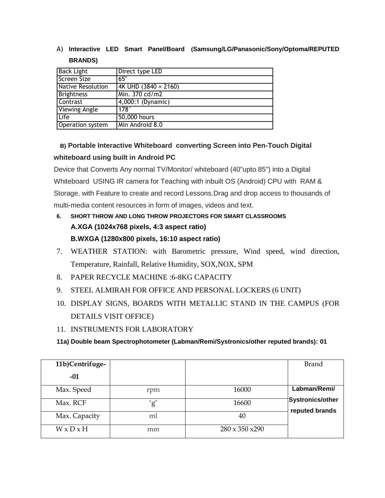## A) **Interactive LED Smart Panel/Board (Samsung/LG/Panasonic/Sony/Optoma/REPUTED BRANDS)**

| <b>Back Light</b>        | Direct type LED             |
|--------------------------|-----------------------------|
| <b>Screen Size</b>       | 65"                         |
| <b>Native Resolution</b> | 4K UHD $(3840 \times 2160)$ |
| <b>Brightness</b>        | Min. 370 cd/m2              |
| Contrast                 | 4,000:1 (Dynamic)           |
| Viewing Angle            | 178°                        |
| Life                     | 50,000 hours                |
| Operation system         | Min Android 8.0             |

# **B) Portable Interactive Whiteboard converting Screen into Pen-Touch Digital whiteboard using built in Android PC**

Device that Converts Any normal TV/Monitor/ whiteboard (40"upto 85") into a Digital Whiteboard USING IR camera for Teaching with inbuilt OS (Android) CPU with RAM & Storage, with Feature to create and record Lessons.Drag and drop access to thousands of multi-media content resources in form of images, videos and text.

- **6. SHORT THROW AND LONG THROW PROJECTORS FOR SMART CLASSROOMS A.XGA (1024x768 pixels, 4:3 aspect ratio) B.WXGA (1280x800 pixels, 16:10 aspect ratio)**
- 7. WEATHER STATION: with Barometric pressure, Wind speed, wind direction, Temperature, Rainfall, Relative Humidity, SOX,NOX, SPM
- 8. PAPER RECYCLE MACHINE :6-8KG CAPACITY
- 9. STEEL ALMIRAH FOR OFFICE AND PERSONAL LOCKERS (6 UNIT)
- 10. DISPLAY SIGNS, BOARDS WITH METALLIC STAND IN THE CAMPUS (FOR DETAILS VISIT OFFICE)
- 11. INSTRUMENTS FOR LABORATORY

**11a) Double beam Spectrophotometer (Labman/Remi/Systronics/other reputed brands): 01**

| 11b)Centrifuge-       |     |                             | <b>Brand</b>                       |
|-----------------------|-----|-----------------------------|------------------------------------|
| $-01$                 |     |                             |                                    |
| Max. Speed            | rpm | 16000                       | Labman/Remi/                       |
| Max. RCF              | g'  | 16600                       | Systronics/other<br>reputed brands |
| Max. Capacity         | ml  | 40                          |                                    |
| $W \times D \times H$ | mm  | $280 \times 350 \times 290$ |                                    |